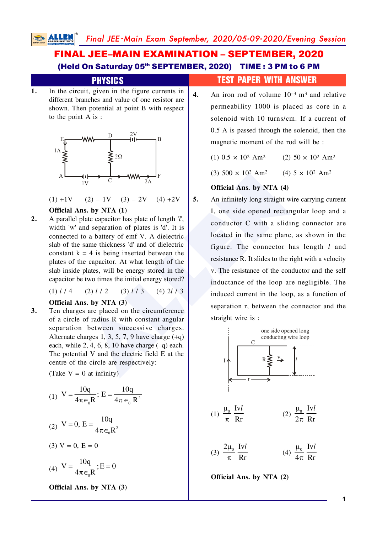# **FINAL JEE-MAIN EXAMINATION - SEPTEMBER, 2020** (Held On Saturday 05th SEPTEMBER, 2020) TIME: 3 PM to 6 PM

 $5.$ 

# In the circuit, given in the figure currents in  $\overline{4}$ . different branches and value of one resistor are shown. Then potential at point B with respect to the point  $A$  is:  $1\text{ }\mathrm{A}$  $\lessgtr$  20

**PHYSICS** 

1.





## Official Ans. by NTA (1)

 $2.$ A parallel plate capacitor has plate of length '*l'*. width 'w' and separation of plates is 'd'. It is connected to a battery of emf V. A dielectric slab of the same thickness 'd' and of dielectric constant  $k = 4$  is being inserted between the plates of the capacitor. At what length of the slab inside plates, will be energy stored in the capacitor be two times the initial energy stored?

> $(1)$   $l$  / 4  $(4)$  2 $\ell$  / 3  $(2)$   $l$  / 2  $(3)$   $l/3$

## Official Ans. by NTA (3)

 $3.$ Ten charges are placed on the circumference of a circle of radius R with constant angular separation between successive charges. Alternate charges 1, 3, 5, 7, 9 have charge  $(+q)$ each, while 2, 4, 6, 8, 10 have charge  $(-q)$  each. The potential V and the electric field E at the centre of the circle are respectively:

(Take  $V = 0$  at infinity)

(1) 
$$
V = \frac{10q}{4\pi \epsilon_0 R}
$$
;  $E = \frac{10q}{4\pi \epsilon_0 R^2}$ 

(2) 
$$
V = 0
$$
,  $E = \frac{10q}{4\pi\epsilon_0 R^2}$ 

 $(3) V = 0, E = 0$ 

(4) 
$$
V = \frac{10q}{4\pi \epsilon_0 R}
$$
; E = 0

Official Ans. by NTA (3)

# **TEST PAPER WITH ANSWER**

An iron rod of volume  $10^{-3}$  m<sup>3</sup> and relative permeability 1000 is placed as core in a solenoid with 10 turns/cm. If a current of 0.5 A is passed through the solenoid, then the magnetic moment of the rod will be :

(1)  $0.5 \times 10^2$  Am<sup>2</sup> (2)  $50 \times 10^2$  Am<sup>2</sup>

 $(3)$  500  $\times$  10<sup>2</sup> Am<sup>2</sup> (4)  $5 \times 10^2$  Am<sup>2</sup>

## Official Ans. by NTA (4)

An infinitely long straight wire carrying current I, one side opened rectangular loop and a conductor C with a sliding connector are located in the same plane, as shown in the figure. The connector has length l and resistance R. It slides to the right with a velocity v. The resistance of the conductor and the self inductance of the loop are negligible. The induced current in the loop, as a function of separation r, between the connector and the straight wire is :



Official Ans. by NTA (2)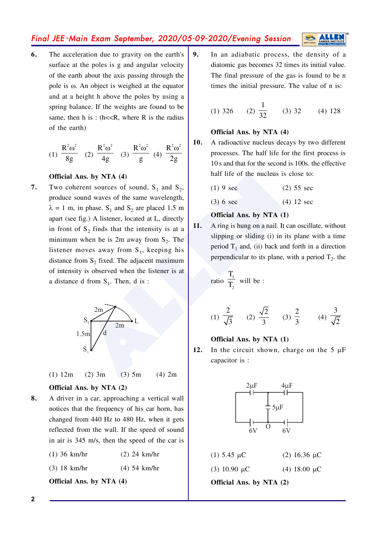# Final JEE-Main Exam September, 2020/05-09-2020/Evening Session

6. The acceleration due to gravity on the earth's surface at the poles is g and angular velocity of the earth about the axis passing through the pole is ω. An object is weighed at the equator and at a height h above the poles by using a spring balance. If the weights are found to be same, then h is:  $(h \ll R$ , where R is the radius of the earth)

(1) 
$$
\frac{R^2 \omega^2}{8g}
$$
 (2)  $\frac{R^2 \omega^2}{4g}$  (3)  $\frac{R^2 \omega^2}{g}$  (4)  $\frac{R^2 \omega^2}{2g}$ 

### Official Ans. by NTA (4)

7. Two coherent sources of sound,  $S_1$  and  $S_2$ , produce sound waves of the same wavelength,  $\lambda = 1$  m, in phase. S<sub>1</sub> and S<sub>2</sub> are placed 1.5 m apart (see fig.) A listener, located at L, directly in front of  $S_2$  finds that the intensity is at a minimum when he is 2m away from  $S_2$ . The listener moves away from  $S_1$ , keeping his distance from  $S_2$  fixed. The adjacent maximum of intensity is observed when the listener is at a distance d from  $S_1$ . Then, d is:



 $(1) 12m$  $(3)$  5m  $(2)$  3m  $(4)$  2m

#### Official Ans. by NTA (2)

- 8. A driver in a car, approaching a vertical wall notices that the frequency of his car horn, has changed from 440 Hz to 480 Hz, when it gets reflected from the wall. If the speed of sound in air is 345 m/s, then the speed of the car is
	- $(1)$  36 km/hr  $(2)$  24 km/hr
	- $(3) 18$  km/hr  $(4)$  54 km/hr

Official Ans. by NTA (4)

 $9<sub>1</sub>$ In an adiabatic process, the density of a diatomic gas becomes 32 times its initial value. The final pressure of the gas is found to be n times the initial pressure. The value of n is:

(1) 326 (2) 
$$
\frac{1}{32}
$$
 (3) 32 (4) 128

### Official Ans. by NTA (4)

 $10.$ A radioactive nucleus decays by two different processes. The half life for the first process is 10 s and that for the second is 100s. the effective half life of the nucleus is close to:

| $(1)$ 9 sec<br>$(2)$ 55 sec |  |  |
|-----------------------------|--|--|
|-----------------------------|--|--|

 $(4)$  12 sec  $(3)$  6 sec

### Official Ans. by NTA (1)

A ring is hung on a nail. It can oscillate, without slipping or sliding (i) in its plane with a time period  $T_1$  and, (ii) back and forth in a direction perpendicular to its plane, with a period  $T_2$ . the

ratio 
$$
\frac{T_1}{T_2}
$$
 will be :

11.

(1) 
$$
\frac{2}{\sqrt{3}}
$$
 (2)  $\frac{\sqrt{2}}{3}$  (3)  $\frac{2}{3}$  (4)  $\frac{3}{\sqrt{2}}$ 

#### Official Ans. by NTA (1)

12. In the circuit shown, charge on the 5  $\mu$ F capacitor is :



| (1) 5.45 $\mu$ C | (2) 16.36 $\mu$ C   |
|------------------|---------------------|
| $(3)$ 10.90 uC   | $(4)$ 18.00 $\mu$ C |

Official Ans. by NTA (2)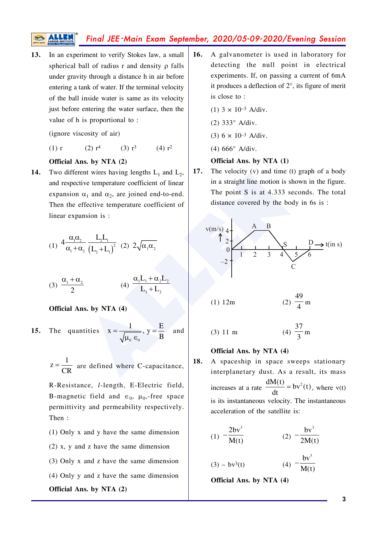# Final JEE-Main Exam September, 2020/05-09-2020/Evening Session

 $13.$ In an experiment to verify Stokes law, a small spherical ball of radius  $r$  and density  $\rho$  falls under gravity through a distance h in air before entering a tank of water. If the terminal velocity of the ball inside water is same as its velocity just before entering the water surface, then the value of h is proportional to:

(ignore viscosity of air)

(3)  $r^3$  (4)  $r^2$  $(1)$  r  $(2) r<sup>4</sup>$ 

### Official Ans. by NTA (2)

Two different wires having lengths  $L_1$  and  $L_2$ , 14. and respective temperature coefficient of linear expansion  $\alpha_1$  and  $\alpha_2$ , are joined end-to-end. Then the effective temperature coefficient of linear expansion is :

(1) 
$$
4\frac{\alpha_1\alpha_2}{\alpha_1 + \alpha_2} \frac{L_2L_1}{(L_2 + L_1)^2}
$$
 (2)  $2\sqrt{\alpha_1\alpha_2}$ 

(3) 
$$
\frac{\alpha_1 + \alpha_2}{2}
$$
 (4)  $\frac{\alpha_1 L_1 + \alpha_2 L_2}{L_1 + L_2}$ 

Official Ans. by NTA (4)

**15.** The quantities 
$$
x = \frac{1}{\sqrt{\mu_0 \epsilon_0}}
$$
,  $y = \frac{E}{B}$  and

$$
z = \frac{1}{CR}
$$
 are defined where C-capacitance,

R-Resistance, *l*-length, E-Electric field, B-magnetic field and  $\epsilon_0$ ,  $\mu_0$ , free space permittivity and permeability respectively. Then:

- $(1)$  Only x and y have the same dimension
- $(2)$  x, y and z have the same dimension
- (3) Only x and z have the same dimension
- $(4)$  Only y and z have the same dimension Official Ans. by NTA (2)
- A galvanometer is used in laboratory for 16. detecting the null point in electrical experiments. If, on passing a current of 6mA it produces a deflection of  $2^{\circ}$ , its figure of merit is close to:
	- (1)  $3 \times 10^{-3}$  A/div.
	- $(2)$  333 $^{\circ}$  A/div.
	- $(3)$  6 × 10<sup>-3</sup> A/div.

 $(4) 666^{\circ}$  A/div.

### Official Ans. by NTA (1)

17. The velocity  $(v)$  and time  $(t)$  graph of a body in a straight line motion is shown in the figure. The point S is at 4.333 seconds. The total distance covered by the body in 6s is:



(3) 11 m (4) 
$$
\frac{37}{3}
$$
 m

### Official Ans. by NTA (4)

18. A spaceship in space sweeps stationary interplanetary dust. As a result, its mass increases at a rate  $\frac{dM(t)}{dt} = bv^2(t)$ , where v(t) is its instantaneous velocity. The instantaneous acceleration of the satellite is:

(1) 
$$
-\frac{2bv^3}{M(t)}
$$
 (2)  $-\frac{bv^3}{2M(t)}$ 

$$
(3) - bv3(t) \t\t (4) -\frac{bv3}{M(t)}
$$

Official Ans. by NTA (4)